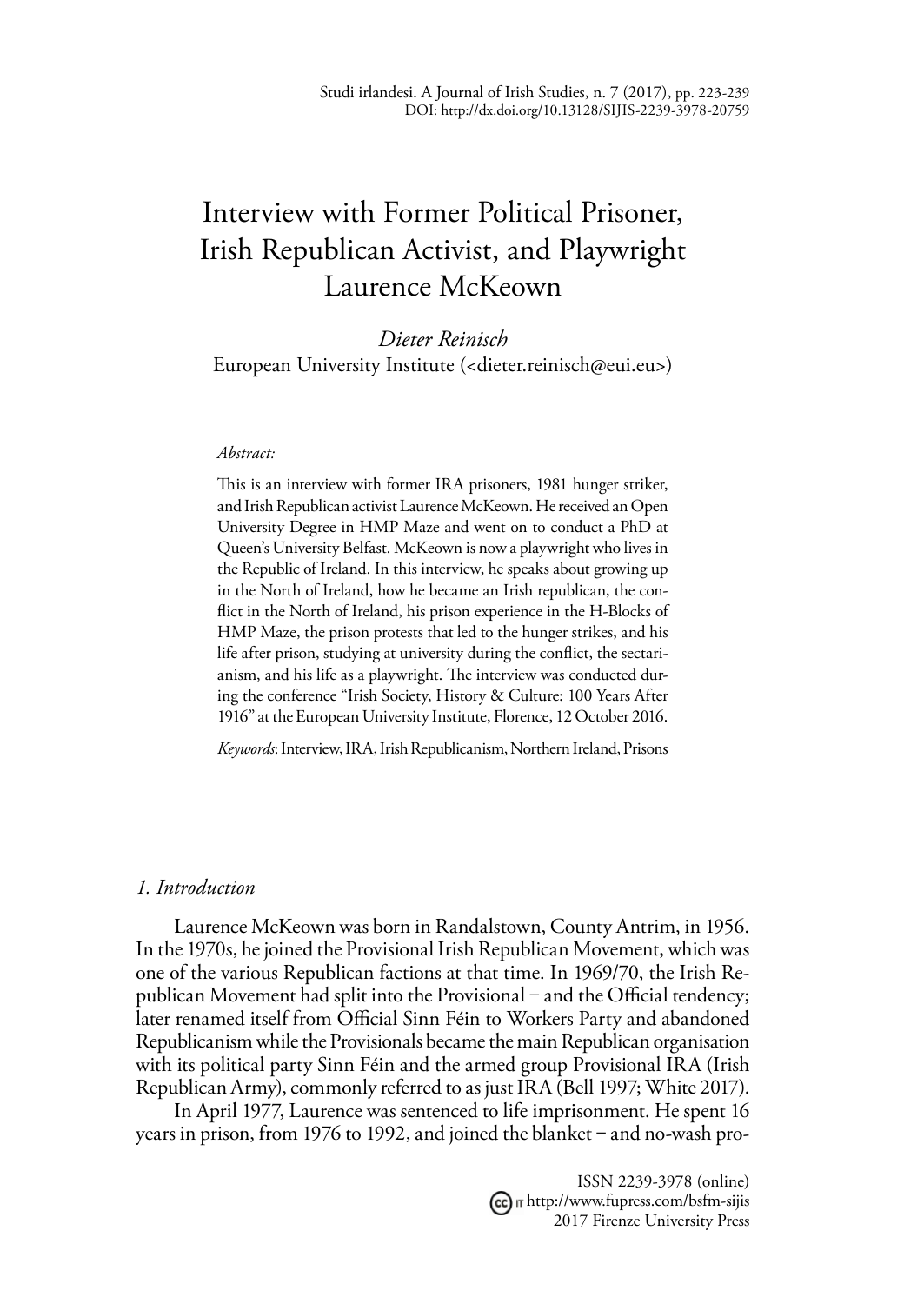# Interview with Former Political Prisoner, Irish Republican Activist, and Playwright Laurence McKeown

*Dieter Reinisch* European University Institute (<dieter.reinisch@eui.eu>)

#### *Abstract:*

This is an interview with former IRA prisoners, 1981 hunger striker, and Irish Republican activist Laurence McKeown. He received an Open University Degree in HMP Maze and went on to conduct a PhD at Queen's University Belfast. McKeown is now a playwright who lives in the Republic of Ireland. In this interview, he speaks about growing up in the North of Ireland, how he became an Irish republican, the conflict in the North of Ireland, his prison experience in the H-Blocks of HMP Maze, the prison protests that led to the hunger strikes, and his life after prison, studying at university during the conflict, the sectarianism, and his life as a playwright. The interview was conducted during the conference "Irish Society, History & Culture: 100 Years After 1916" at the European University Institute, Florence, 12 October 2016.

*Keywords*: Interview, IRA, Irish Republicanism, Northern Ireland, Prisons

## *1. Introduction*

Laurence McKeown was born in Randalstown, County Antrim, in 1956. In the 1970s, he joined the Provisional Irish Republican Movement, which was one of the various Republican factions at that time. In 1969/70, the Irish Republican Movement had split into the Provisional – and the Official tendency; later renamed itself from Official Sinn Féin to Workers Party and abandoned Republicanism while the Provisionals became the main Republican organisation with its political party Sinn Féin and the armed group Provisional IRA (Irish Republican Army), commonly referred to as just IRA (Bell 1997; White 2017).

In April 1977, Laurence was sentenced to life imprisonment. He spent 16 years in prison, from 1976 to 1992, and joined the blanket  $-$  and no-wash pro-

> ISSN 2239-3978 (online) http://www.fupress.com/bsfm-sijis 2017 Firenze University Press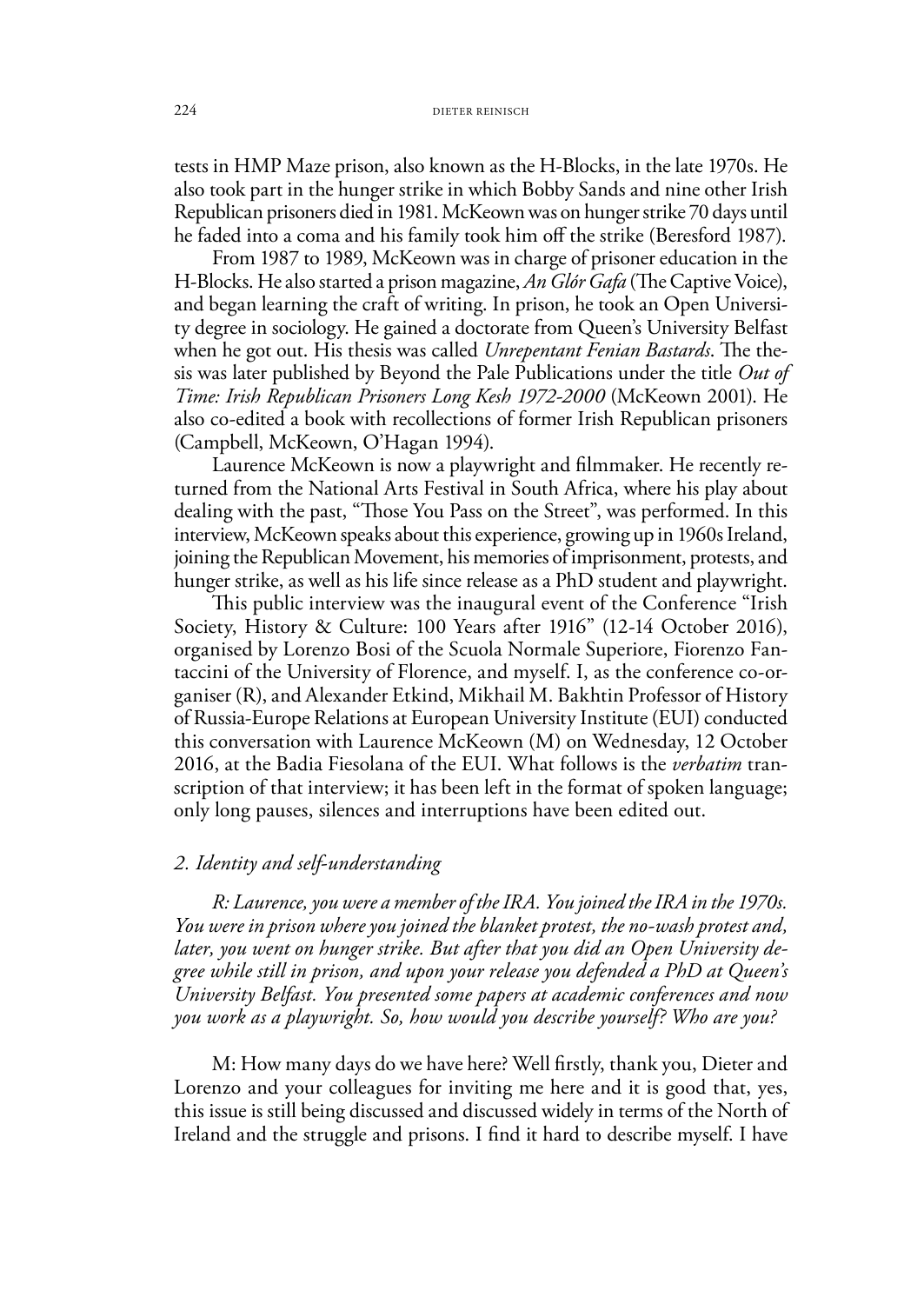tests in HMP Maze prison, also known as the H-Blocks, in the late 1970s. He also took part in the hunger strike in which Bobby Sands and nine other Irish Republican prisoners died in 1981. McKeown was on hunger strike 70 days until he faded into a coma and his family took him off the strike (Beresford 1987).

From 1987 to 1989, McKeown was in charge of prisoner education in the H-Blocks. He also started a prison magazine, *An Glór Gafa* (The Captive Voice), and began learning the craft of writing. In prison, he took an Open University degree in sociology. He gained a doctorate from Queen's University Belfast when he got out. His thesis was called *Unrepentant Fenian Bastards*. The thesis was later published by Beyond the Pale Publications under the title *Out of Time: Irish Republican Prisoners Long Kesh 1972-2000* (McKeown 2001). He also co-edited a book with recollections of former Irish Republican prisoners (Campbell, McKeown, O'Hagan 1994).

Laurence McKeown is now a playwright and filmmaker. He recently returned from the National Arts Festival in South Africa, where his play about dealing with the past, "Those You Pass on the Street", was performed. In this interview, McKeown speaks about this experience, growing up in 1960s Ireland, joining the Republican Movement, his memories of imprisonment, protests, and hunger strike, as well as his life since release as a PhD student and playwright.

This public interview was the inaugural event of the Conference "Irish Society, History & Culture: 100 Years after 1916" (12-14 October 2016), organised by Lorenzo Bosi of the Scuola Normale Superiore, Fiorenzo Fantaccini of the University of Florence, and myself. I, as the conference co-organiser (R), and Alexander Etkind, Mikhail M. Bakhtin Professor of History of Russia-Europe Relations at European University Institute (EUI) conducted this conversation with Laurence McKeown (M) on Wednesday, 12 October 2016, at the Badia Fiesolana of the EUI. What follows is the *verbatim* transcription of that interview; it has been left in the format of spoken language; only long pauses, silences and interruptions have been edited out.

## *2. Identity and self-understanding*

*R: Laurence, you were a member of the IRA. You joined the IRA in the 1970s. You were in prison where you joined the blanket protest, the no-wash protest and, later, you went on hunger strike. But after that you did an Open University degree while still in prison, and upon your release you defended a PhD at Queen's University Belfast. You presented some papers at academic conferences and now you work as a playwright. So, how would you describe yourself? Who are you?*

M: How many days do we have here? Well firstly, thank you, Dieter and Lorenzo and your colleagues for inviting me here and it is good that, yes, this issue is still being discussed and discussed widely in terms of the North of Ireland and the struggle and prisons. I find it hard to describe myself. I have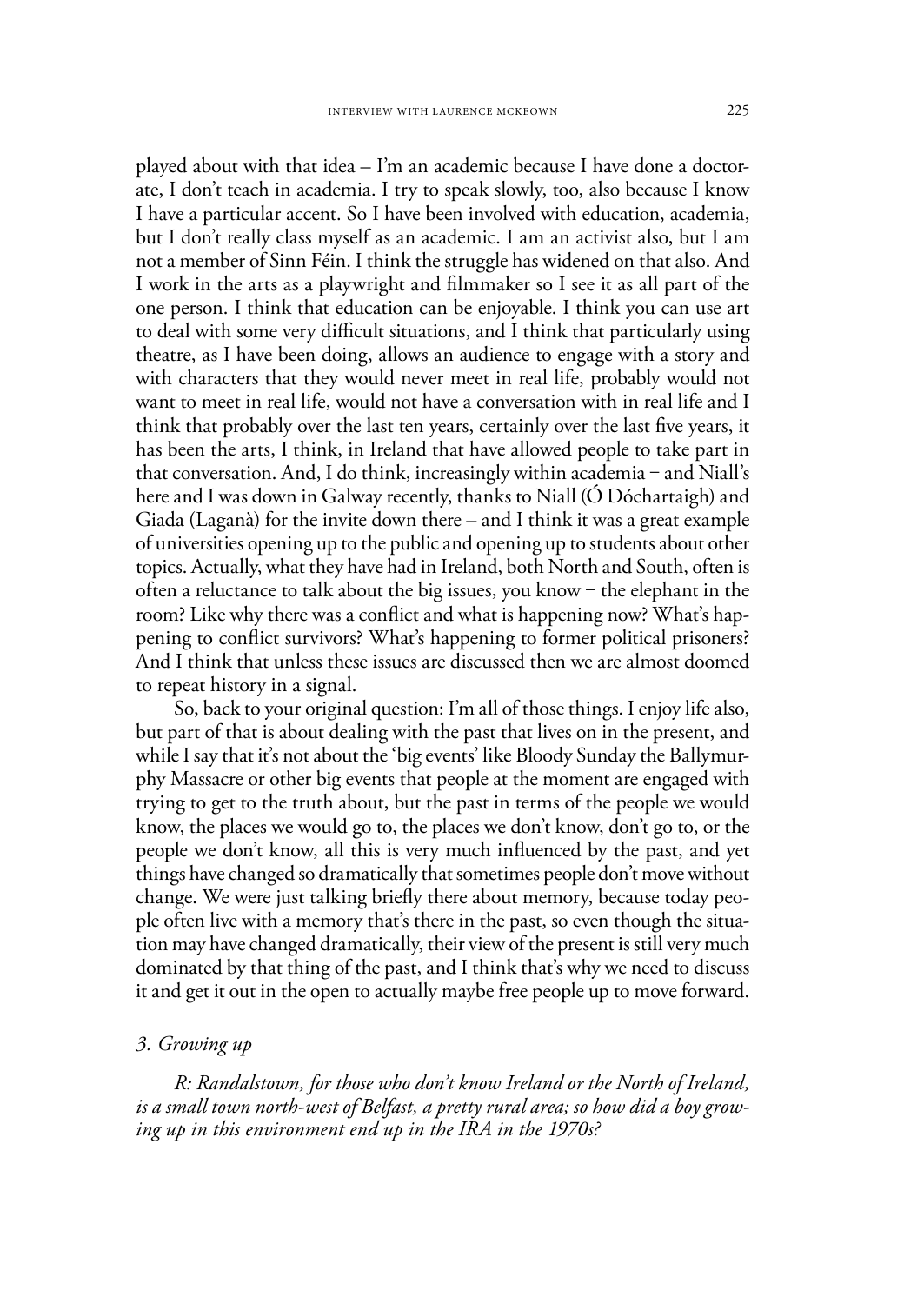played about with that idea – I'm an academic because I have done a doctorate, I don't teach in academia. I try to speak slowly, too, also because I know I have a particular accent. So I have been involved with education, academia, but I don't really class myself as an academic. I am an activist also, but I am not a member of Sinn Féin. I think the struggle has widened on that also. And I work in the arts as a playwright and filmmaker so I see it as all part of the one person. I think that education can be enjoyable. I think you can use art to deal with some very difficult situations, and I think that particularly using theatre, as I have been doing, allows an audience to engage with a story and with characters that they would never meet in real life, probably would not want to meet in real life, would not have a conversation with in real life and I think that probably over the last ten years, certainly over the last five years, it has been the arts, I think, in Ireland that have allowed people to take part in that conversation. And, I do think, increasingly within academia  $-$  and Niall's here and I was down in Galway recently, thanks to Niall (Ó Dóchartaigh) and Giada (Laganà) for the invite down there – and I think it was a great example of universities opening up to the public and opening up to students about other topics. Actually, what they have had in Ireland, both North and South, often is often a reluctance to talk about the big issues, you know  $-$  the elephant in the room? Like why there was a conflict and what is happening now? What's happening to conflict survivors? What's happening to former political prisoners? And I think that unless these issues are discussed then we are almost doomed to repeat history in a signal.

So, back to your original question: I'm all of those things. I enjoy life also, but part of that is about dealing with the past that lives on in the present, and while I say that it's not about the 'big events' like Bloody Sunday the Ballymurphy Massacre or other big events that people at the moment are engaged with trying to get to the truth about, but the past in terms of the people we would know, the places we would go to, the places we don't know, don't go to, or the people we don't know, all this is very much influenced by the past, and yet things have changed so dramatically that sometimes people don't move without change. We were just talking briefly there about memory, because today people often live with a memory that's there in the past, so even though the situation may have changed dramatically, their view of the present is still very much dominated by that thing of the past, and I think that's why we need to discuss it and get it out in the open to actually maybe free people up to move forward.

## *3. Growing up*

*R: Randalstown, for those who don't know Ireland or the North of Ireland, is a small town north-west of Belfast, a pretty rural area; so how did a boy growing up in this environment end up in the IRA in the 1970s?*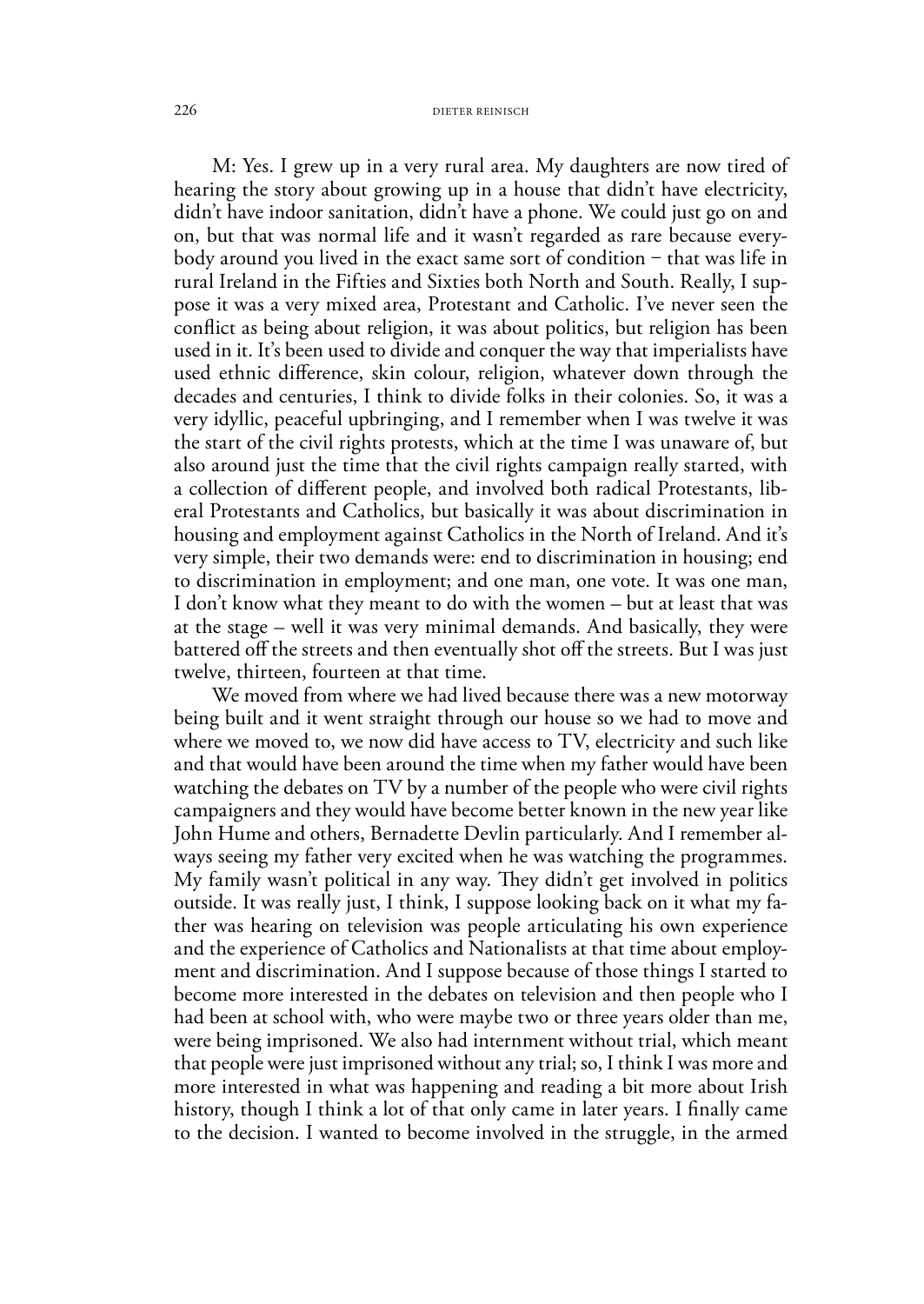M: Yes. I grew up in a very rural area. My daughters are now tired of hearing the story about growing up in a house that didn't have electricity, didn't have indoor sanitation, didn't have a phone. We could just go on and on, but that was normal life and it wasn't regarded as rare because everybody around you lived in the exact same sort of condition  $-$  that was life in rural Ireland in the Fifties and Sixties both North and South. Really, I suppose it was a very mixed area, Protestant and Catholic. I've never seen the conflict as being about religion, it was about politics, but religion has been used in it. It's been used to divide and conquer the way that imperialists have used ethnic difference, skin colour, religion, whatever down through the decades and centuries, I think to divide folks in their colonies. So, it was a very idyllic, peaceful upbringing, and I remember when I was twelve it was the start of the civil rights protests, which at the time I was unaware of, but also around just the time that the civil rights campaign really started, with a collection of different people, and involved both radical Protestants, liberal Protestants and Catholics, but basically it was about discrimination in housing and employment against Catholics in the North of Ireland. And it's very simple, their two demands were: end to discrimination in housing; end to discrimination in employment; and one man, one vote. It was one man, I don't know what they meant to do with the women – but at least that was at the stage – well it was very minimal demands. And basically, they were battered off the streets and then eventually shot off the streets. But I was just twelve, thirteen, fourteen at that time.

We moved from where we had lived because there was a new motorway being built and it went straight through our house so we had to move and where we moved to, we now did have access to TV, electricity and such like and that would have been around the time when my father would have been watching the debates on TV by a number of the people who were civil rights campaigners and they would have become better known in the new year like John Hume and others, Bernadette Devlin particularly. And I remember always seeing my father very excited when he was watching the programmes. My family wasn't political in any way. They didn't get involved in politics outside. It was really just, I think, I suppose looking back on it what my father was hearing on television was people articulating his own experience and the experience of Catholics and Nationalists at that time about employment and discrimination. And I suppose because of those things I started to become more interested in the debates on television and then people who I had been at school with, who were maybe two or three years older than me, were being imprisoned. We also had internment without trial, which meant that people were just imprisoned without any trial; so, I think I was more and more interested in what was happening and reading a bit more about Irish history, though I think a lot of that only came in later years. I finally came to the decision. I wanted to become involved in the struggle, in the armed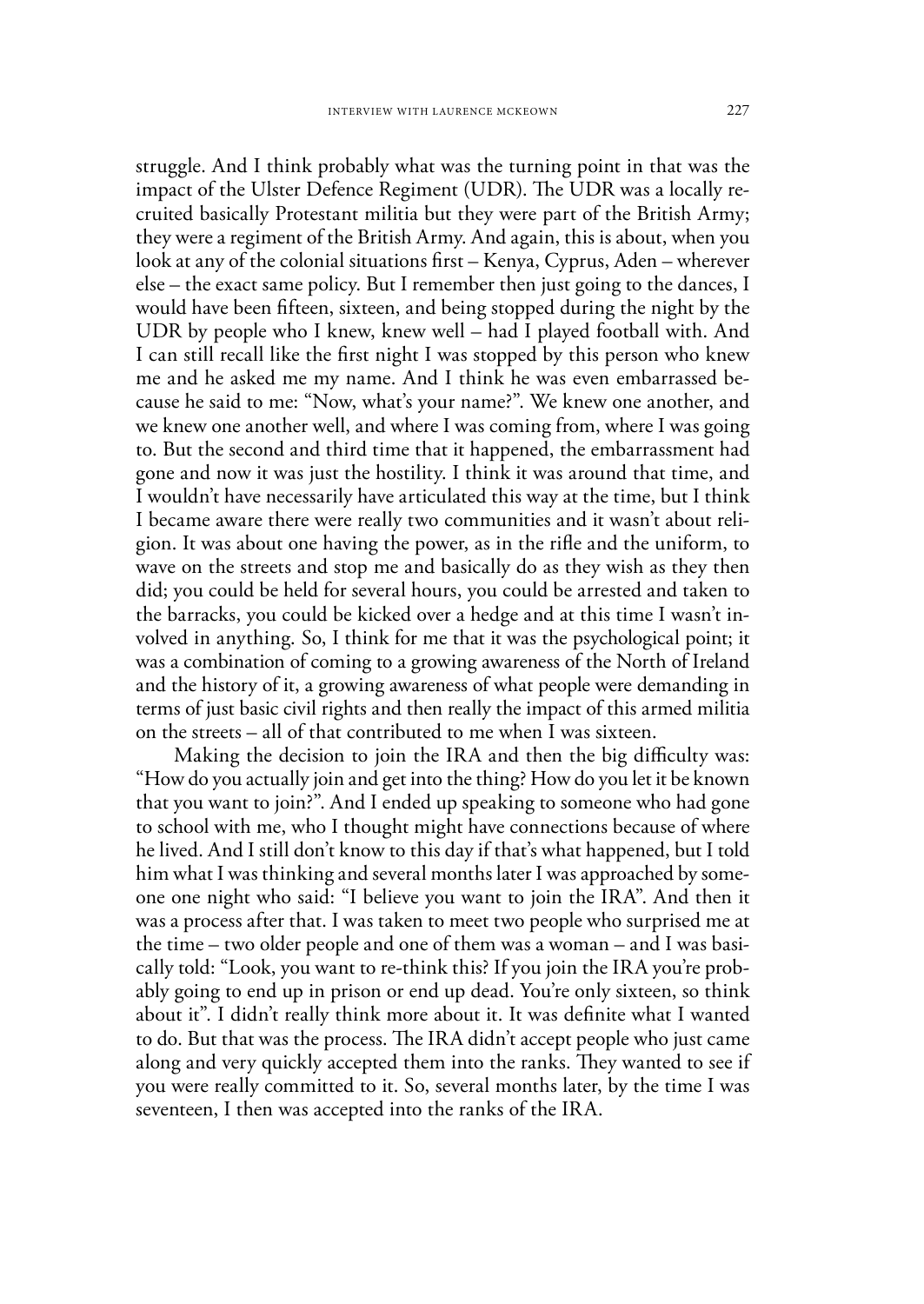struggle. And I think probably what was the turning point in that was the impact of the Ulster Defence Regiment (UDR). The UDR was a locally recruited basically Protestant militia but they were part of the British Army; they were a regiment of the British Army. And again, this is about, when you look at any of the colonial situations first – Kenya, Cyprus, Aden – wherever else – the exact same policy. But I remember then just going to the dances, I would have been fifteen, sixteen, and being stopped during the night by the UDR by people who I knew, knew well – had I played football with. And I can still recall like the first night I was stopped by this person who knew me and he asked me my name. And I think he was even embarrassed because he said to me: "Now, what's your name?". We knew one another, and we knew one another well, and where I was coming from, where I was going to. But the second and third time that it happened, the embarrassment had gone and now it was just the hostility. I think it was around that time, and I wouldn't have necessarily have articulated this way at the time, but I think I became aware there were really two communities and it wasn't about religion. It was about one having the power, as in the rifle and the uniform, to wave on the streets and stop me and basically do as they wish as they then did; you could be held for several hours, you could be arrested and taken to the barracks, you could be kicked over a hedge and at this time I wasn't involved in anything. So, I think for me that it was the psychological point; it was a combination of coming to a growing awareness of the North of Ireland and the history of it, a growing awareness of what people were demanding in terms of just basic civil rights and then really the impact of this armed militia on the streets – all of that contributed to me when I was sixteen.

Making the decision to join the IRA and then the big difficulty was: "How do you actually join and get into the thing? How do you let it be known that you want to join?". And I ended up speaking to someone who had gone to school with me, who I thought might have connections because of where he lived. And I still don't know to this day if that's what happened, but I told him what I was thinking and several months later I was approached by someone one night who said: "I believe you want to join the IRA". And then it was a process after that. I was taken to meet two people who surprised me at the time – two older people and one of them was a woman – and I was basically told: "Look, you want to re-think this? If you join the IRA you're probably going to end up in prison or end up dead. You're only sixteen, so think about it". I didn't really think more about it. It was definite what I wanted to do. But that was the process. The IRA didn't accept people who just came along and very quickly accepted them into the ranks. They wanted to see if you were really committed to it. So, several months later, by the time I was seventeen, I then was accepted into the ranks of the IRA.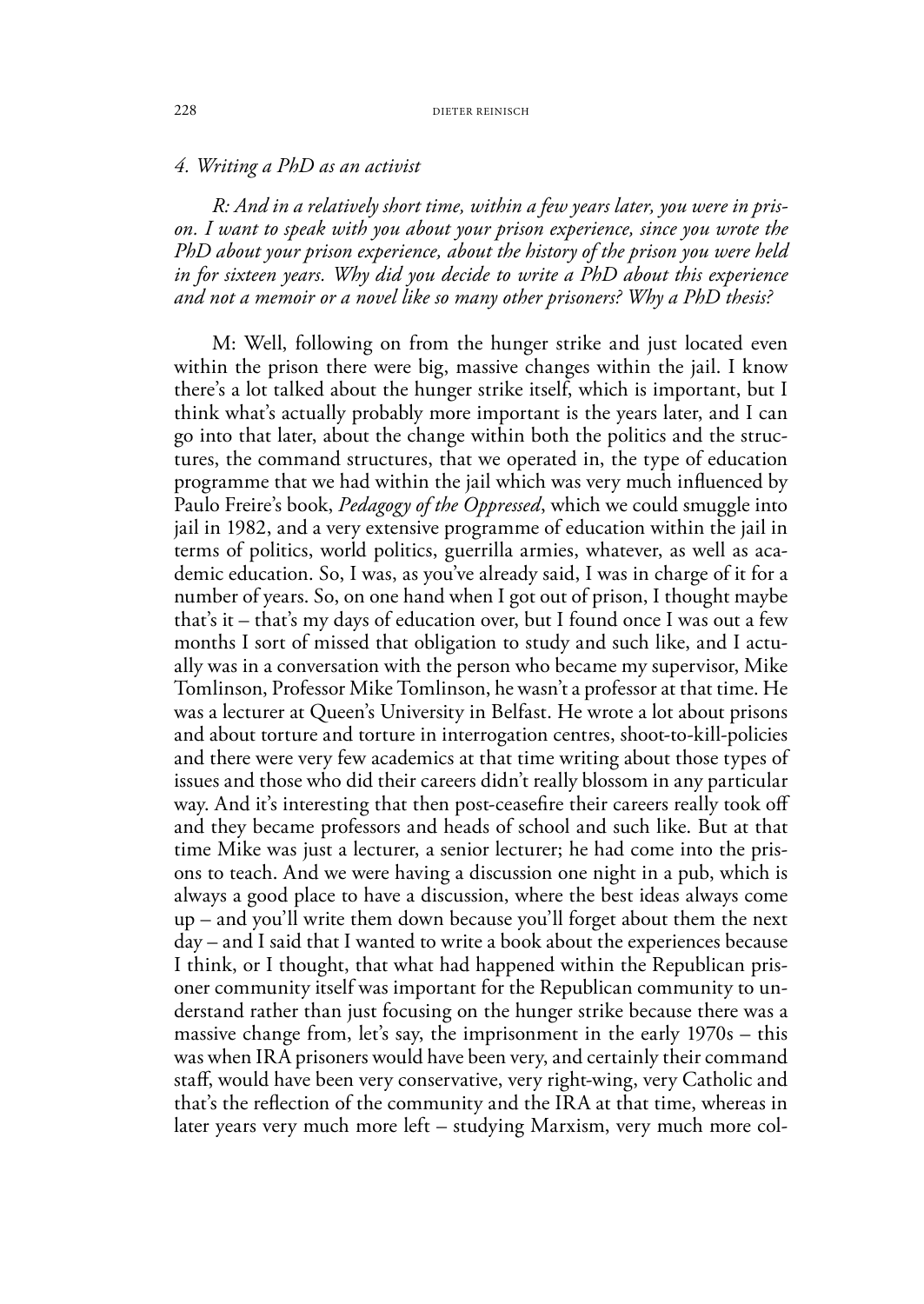## *4. Writing a PhD as an activist*

*R: And in a relatively short time, within a few years later, you were in prison. I want to speak with you about your prison experience, since you wrote the PhD about your prison experience, about the history of the prison you were held in for sixteen years. Why did you decide to write a PhD about this experience and not a memoir or a novel like so many other prisoners? Why a PhD thesis?*

M: Well, following on from the hunger strike and just located even within the prison there were big, massive changes within the jail. I know there's a lot talked about the hunger strike itself, which is important, but I think what's actually probably more important is the years later, and I can go into that later, about the change within both the politics and the structures, the command structures, that we operated in, the type of education programme that we had within the jail which was very much influenced by Paulo Freire's book, *Pedagogy of the Oppressed*, which we could smuggle into jail in 1982, and a very extensive programme of education within the jail in terms of politics, world politics, guerrilla armies, whatever, as well as academic education. So, I was, as you've already said, I was in charge of it for a number of years. So, on one hand when I got out of prison, I thought maybe that's it – that's my days of education over, but I found once I was out a few months I sort of missed that obligation to study and such like, and I actually was in a conversation with the person who became my supervisor, Mike Tomlinson, Professor Mike Tomlinson, he wasn't a professor at that time. He was a lecturer at Queen's University in Belfast. He wrote a lot about prisons and about torture and torture in interrogation centres, shoot-to-kill-policies and there were very few academics at that time writing about those types of issues and those who did their careers didn't really blossom in any particular way. And it's interesting that then post-ceasefire their careers really took off and they became professors and heads of school and such like. But at that time Mike was just a lecturer, a senior lecturer; he had come into the prisons to teach. And we were having a discussion one night in a pub, which is always a good place to have a discussion, where the best ideas always come up – and you'll write them down because you'll forget about them the next day – and I said that I wanted to write a book about the experiences because I think, or I thought, that what had happened within the Republican prisoner community itself was important for the Republican community to understand rather than just focusing on the hunger strike because there was a massive change from, let's say, the imprisonment in the early 1970s – this was when IRA prisoners would have been very, and certainly their command staff, would have been very conservative, very right-wing, very Catholic and that's the reflection of the community and the IRA at that time, whereas in later years very much more left – studying Marxism, very much more col-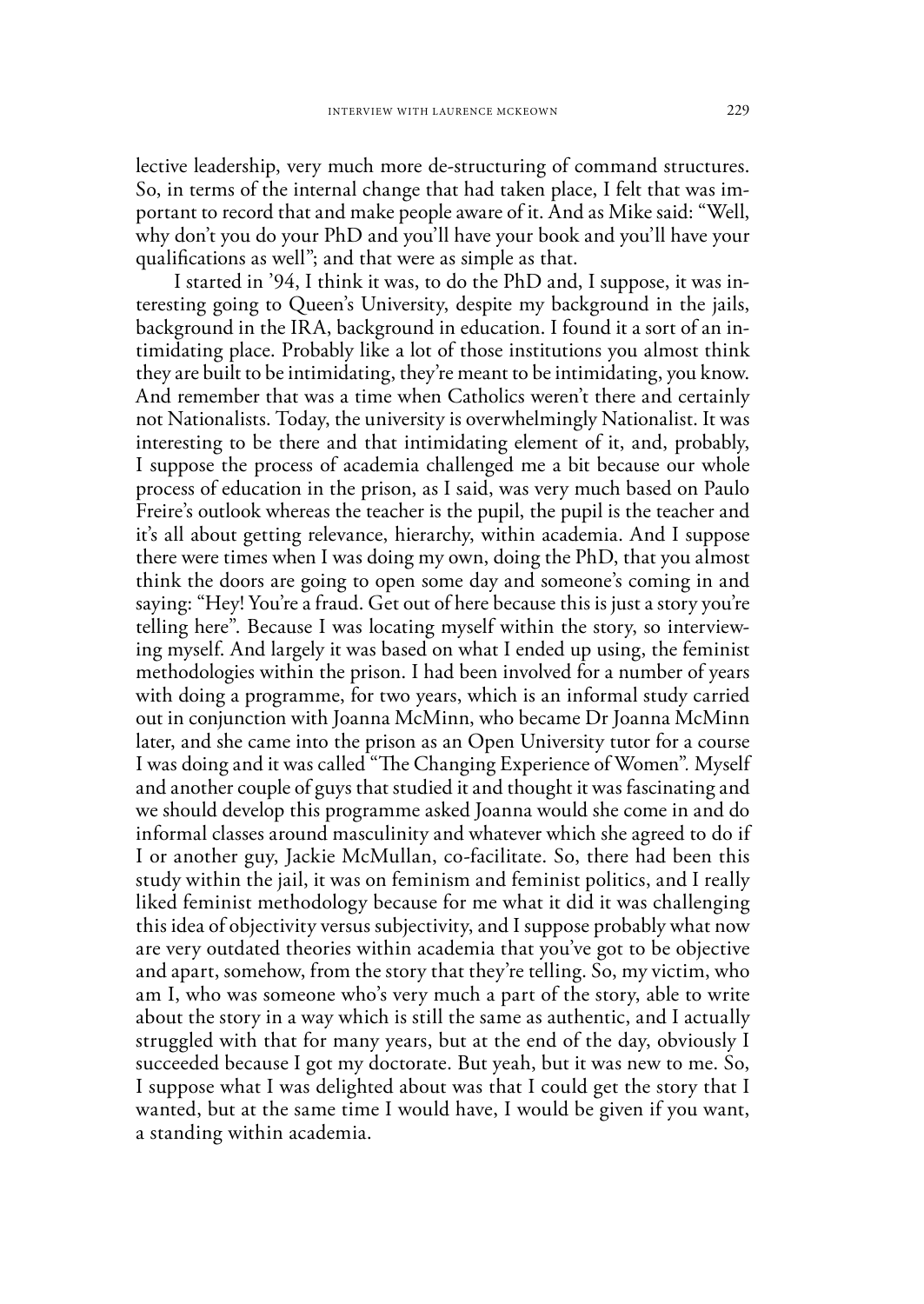lective leadership, very much more de-structuring of command structures. So, in terms of the internal change that had taken place, I felt that was important to record that and make people aware of it. And as Mike said: "Well, why don't you do your PhD and you'll have your book and you'll have your qualifications as well"; and that were as simple as that.

I started in '94, I think it was, to do the PhD and, I suppose, it was interesting going to Queen's University, despite my background in the jails, background in the IRA, background in education. I found it a sort of an intimidating place. Probably like a lot of those institutions you almost think they are built to be intimidating, they're meant to be intimidating, you know. And remember that was a time when Catholics weren't there and certainly not Nationalists. Today, the university is overwhelmingly Nationalist. It was interesting to be there and that intimidating element of it, and, probably, I suppose the process of academia challenged me a bit because our whole process of education in the prison, as I said, was very much based on Paulo Freire's outlook whereas the teacher is the pupil, the pupil is the teacher and it's all about getting relevance, hierarchy, within academia. And I suppose there were times when I was doing my own, doing the PhD, that you almost think the doors are going to open some day and someone's coming in and saying: "Hey! You're a fraud. Get out of here because this is just a story you're telling here". Because I was locating myself within the story, so interviewing myself. And largely it was based on what I ended up using, the feminist methodologies within the prison. I had been involved for a number of years with doing a programme, for two years, which is an informal study carried out in conjunction with Joanna McMinn, who became Dr Joanna McMinn later, and she came into the prison as an Open University tutor for a course I was doing and it was called "The Changing Experience of Women"*.* Myself and another couple of guys that studied it and thought it was fascinating and we should develop this programme asked Joanna would she come in and do informal classes around masculinity and whatever which she agreed to do if I or another guy, Jackie McMullan, co-facilitate. So, there had been this study within the jail, it was on feminism and feminist politics, and I really liked feminist methodology because for me what it did it was challenging this idea of objectivity versus subjectivity, and I suppose probably what now are very outdated theories within academia that you've got to be objective and apart, somehow, from the story that they're telling. So, my victim, who am I, who was someone who's very much a part of the story, able to write about the story in a way which is still the same as authentic, and I actually struggled with that for many years, but at the end of the day, obviously I succeeded because I got my doctorate. But yeah, but it was new to me. So, I suppose what I was delighted about was that I could get the story that I wanted, but at the same time I would have, I would be given if you want, a standing within academia.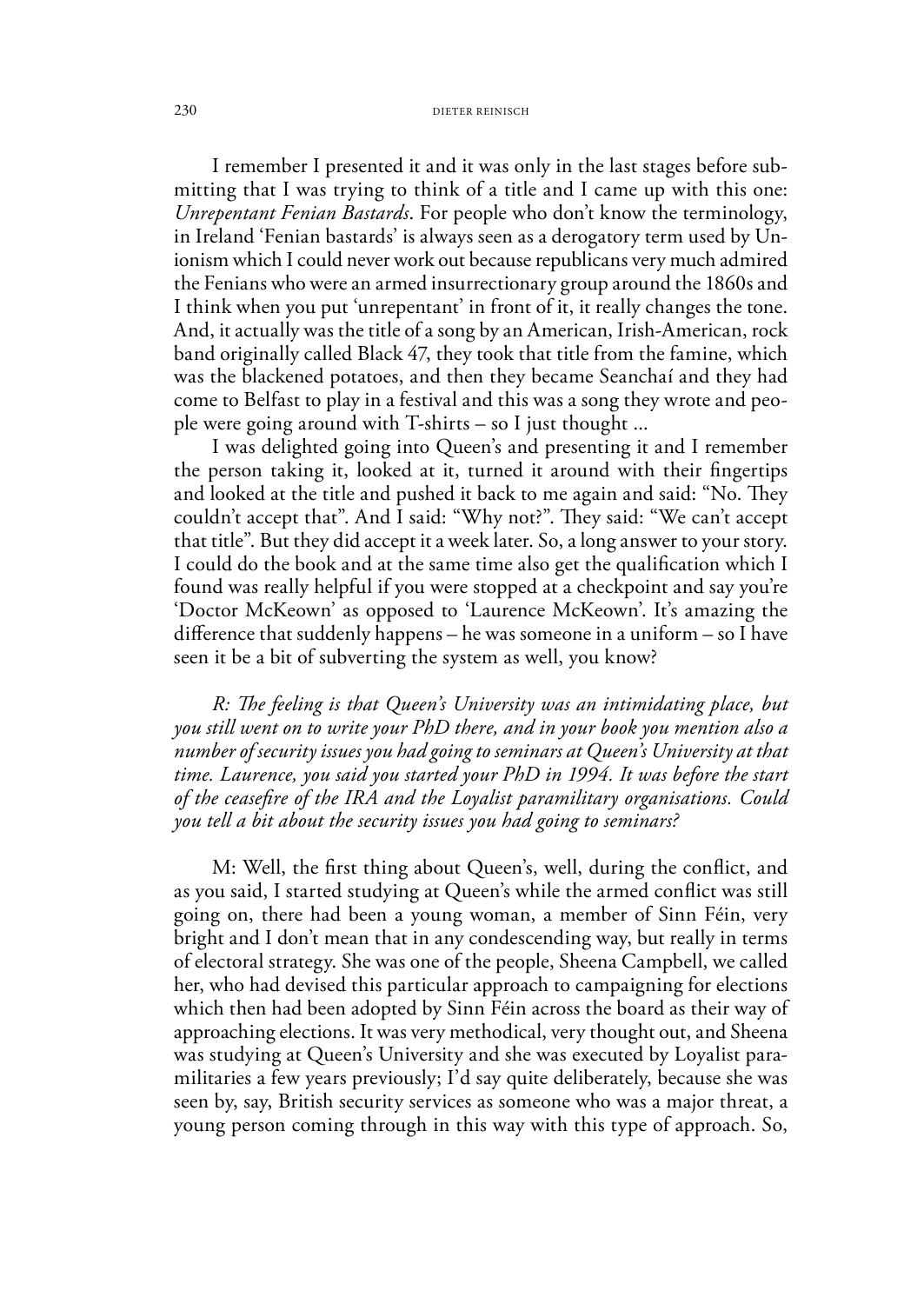#### 230 DIETER REINISCH

I remember I presented it and it was only in the last stages before submitting that I was trying to think of a title and I came up with this one: *Unrepentant Fenian Bastards*. For people who don't know the terminology, in Ireland 'Fenian bastards' is always seen as a derogatory term used by Unionism which I could never work out because republicans very much admired the Fenians who were an armed insurrectionary group around the 1860s and I think when you put 'unrepentant' in front of it, it really changes the tone. And, it actually was the title of a song by an American, Irish-American, rock band originally called Black 47, they took that title from the famine, which was the blackened potatoes, and then they became Seanchaí and they had come to Belfast to play in a festival and this was a song they wrote and people were going around with T-shirts – so I just thought ...

I was delighted going into Queen's and presenting it and I remember the person taking it, looked at it, turned it around with their fingertips and looked at the title and pushed it back to me again and said: "No. They couldn't accept that". And I said: "Why not?". They said: "We can't accept that title". But they did accept it a week later. So, a long answer to your story. I could do the book and at the same time also get the qualification which I found was really helpful if you were stopped at a checkpoint and say you're 'Doctor McKeown' as opposed to 'Laurence McKeown'. It's amazing the difference that suddenly happens – he was someone in a uniform – so I have seen it be a bit of subverting the system as well, you know?

*R: The feeling is that Queen's University was an intimidating place, but you still went on to write your PhD there, and in your book you mention also a number of security issues you had going to seminars at Queen's University at that time. Laurence, you said you started your PhD in 1994. It was before the start of the ceasefire of the IRA and the Loyalist paramilitary organisations. Could you tell a bit about the security issues you had going to seminars?*

M: Well, the first thing about Queen's, well, during the conflict, and as you said, I started studying at Queen's while the armed conflict was still going on, there had been a young woman, a member of Sinn Féin, very bright and I don't mean that in any condescending way, but really in terms of electoral strategy. She was one of the people, Sheena Campbell, we called her, who had devised this particular approach to campaigning for elections which then had been adopted by Sinn Féin across the board as their way of approaching elections. It was very methodical, very thought out, and Sheena was studying at Queen's University and she was executed by Loyalist paramilitaries a few years previously; I'd say quite deliberately, because she was seen by, say, British security services as someone who was a major threat, a young person coming through in this way with this type of approach. So,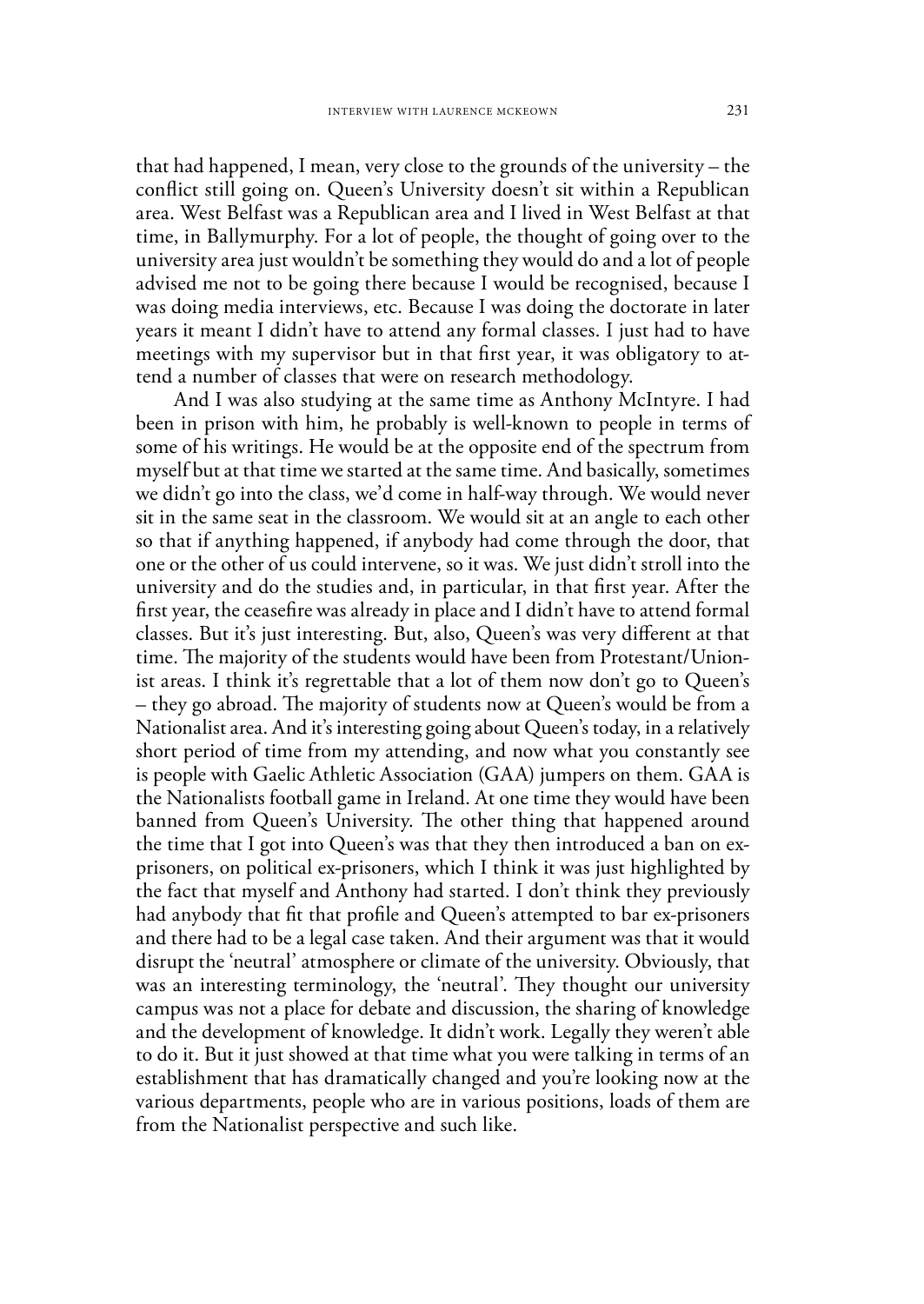that had happened, I mean, very close to the grounds of the university – the conflict still going on. Queen's University doesn't sit within a Republican area. West Belfast was a Republican area and I lived in West Belfast at that time, in Ballymurphy. For a lot of people, the thought of going over to the university area just wouldn't be something they would do and a lot of people advised me not to be going there because I would be recognised, because I was doing media interviews, etc. Because I was doing the doctorate in later years it meant I didn't have to attend any formal classes. I just had to have meetings with my supervisor but in that first year, it was obligatory to attend a number of classes that were on research methodology.

And I was also studying at the same time as Anthony McIntyre. I had been in prison with him, he probably is well-known to people in terms of some of his writings. He would be at the opposite end of the spectrum from myself but at that time we started at the same time. And basically, sometimes we didn't go into the class, we'd come in half-way through. We would never sit in the same seat in the classroom. We would sit at an angle to each other so that if anything happened, if anybody had come through the door, that one or the other of us could intervene, so it was. We just didn't stroll into the university and do the studies and, in particular, in that first year. After the first year, the ceasefire was already in place and I didn't have to attend formal classes. But it's just interesting. But, also, Queen's was very different at that time. The majority of the students would have been from Protestant/Unionist areas. I think it's regrettable that a lot of them now don't go to Queen's – they go abroad. The majority of students now at Queen's would be from a Nationalist area. And it's interesting going about Queen's today, in a relatively short period of time from my attending, and now what you constantly see is people with Gaelic Athletic Association (GAA) jumpers on them. GAA is the Nationalists football game in Ireland. At one time they would have been banned from Queen's University. The other thing that happened around the time that I got into Queen's was that they then introduced a ban on exprisoners, on political ex-prisoners, which I think it was just highlighted by the fact that myself and Anthony had started. I don't think they previously had anybody that fit that profile and Queen's attempted to bar ex-prisoners and there had to be a legal case taken. And their argument was that it would disrupt the 'neutral' atmosphere or climate of the university. Obviously, that was an interesting terminology, the 'neutral'. They thought our university campus was not a place for debate and discussion, the sharing of knowledge and the development of knowledge. It didn't work. Legally they weren't able to do it. But it just showed at that time what you were talking in terms of an establishment that has dramatically changed and you're looking now at the various departments, people who are in various positions, loads of them are from the Nationalist perspective and such like.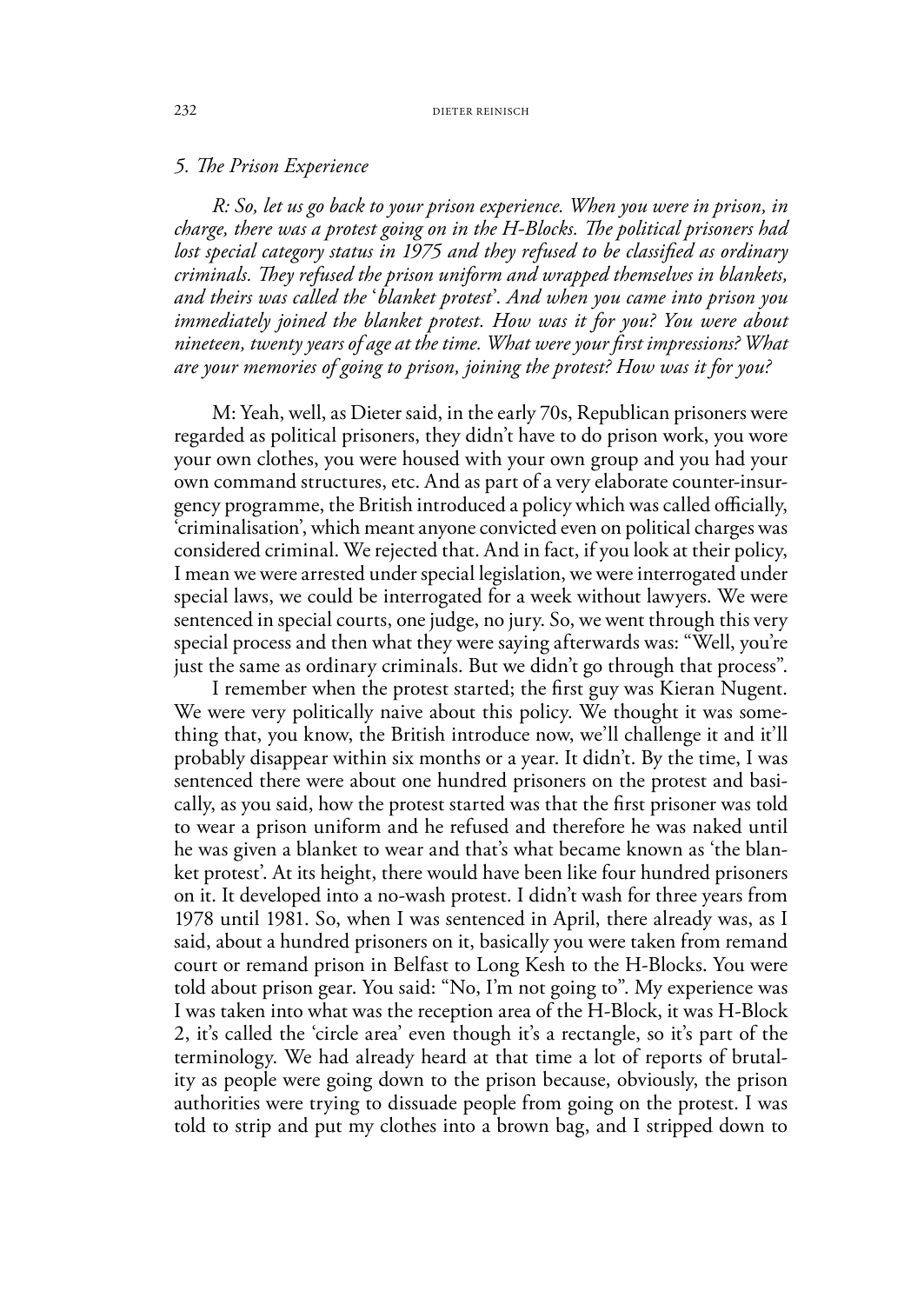## *5. The Prison Experience*

*R: So, let us go back to your prison experience. When you were in prison, in charge, there was a protest going on in the H-Blocks. The political prisoners had lost special category status in 1975 and they refused to be classified as ordinary criminals. They refused the prison uniform and wrapped themselves in blankets, and theirs was called the* '*blanket protest*'. *And when you came into prison you immediately joined the blanket protest. How was it for you? You were about nineteen, twenty years of age at the time. What were your first impressions? What are your memories of going to prison, joining the protest? How was it for you?*

M: Yeah, well, as Dieter said, in the early 70s, Republican prisoners were regarded as political prisoners, they didn't have to do prison work, you wore your own clothes, you were housed with your own group and you had your own command structures, etc. And as part of a very elaborate counter-insurgency programme, the British introduced a policy which was called officially, 'criminalisation', which meant anyone convicted even on political charges was considered criminal. We rejected that. And in fact, if you look at their policy, I mean we were arrested under special legislation, we were interrogated under special laws, we could be interrogated for a week without lawyers. We were sentenced in special courts, one judge, no jury. So, we went through this very special process and then what they were saying afterwards was: "Well, you're just the same as ordinary criminals. But we didn't go through that process".

I remember when the protest started; the first guy was Kieran Nugent. We were very politically naive about this policy. We thought it was something that, you know, the British introduce now, we'll challenge it and it'll probably disappear within six months or a year. It didn't. By the time, I was sentenced there were about one hundred prisoners on the protest and basically, as you said, how the protest started was that the first prisoner was told to wear a prison uniform and he refused and therefore he was naked until he was given a blanket to wear and that's what became known as 'the blanket protest'. At its height, there would have been like four hundred prisoners on it. It developed into a no-wash protest. I didn't wash for three years from 1978 until 1981. So, when I was sentenced in April, there already was, as I said, about a hundred prisoners on it, basically you were taken from remand court or remand prison in Belfast to Long Kesh to the H-Blocks. You were told about prison gear. You said: "No, I'm not going to". My experience was I was taken into what was the reception area of the H-Block, it was H-Block 2, it's called the 'circle area' even though it's a rectangle, so it's part of the terminology. We had already heard at that time a lot of reports of brutality as people were going down to the prison because, obviously, the prison authorities were trying to dissuade people from going on the protest. I was told to strip and put my clothes into a brown bag, and I stripped down to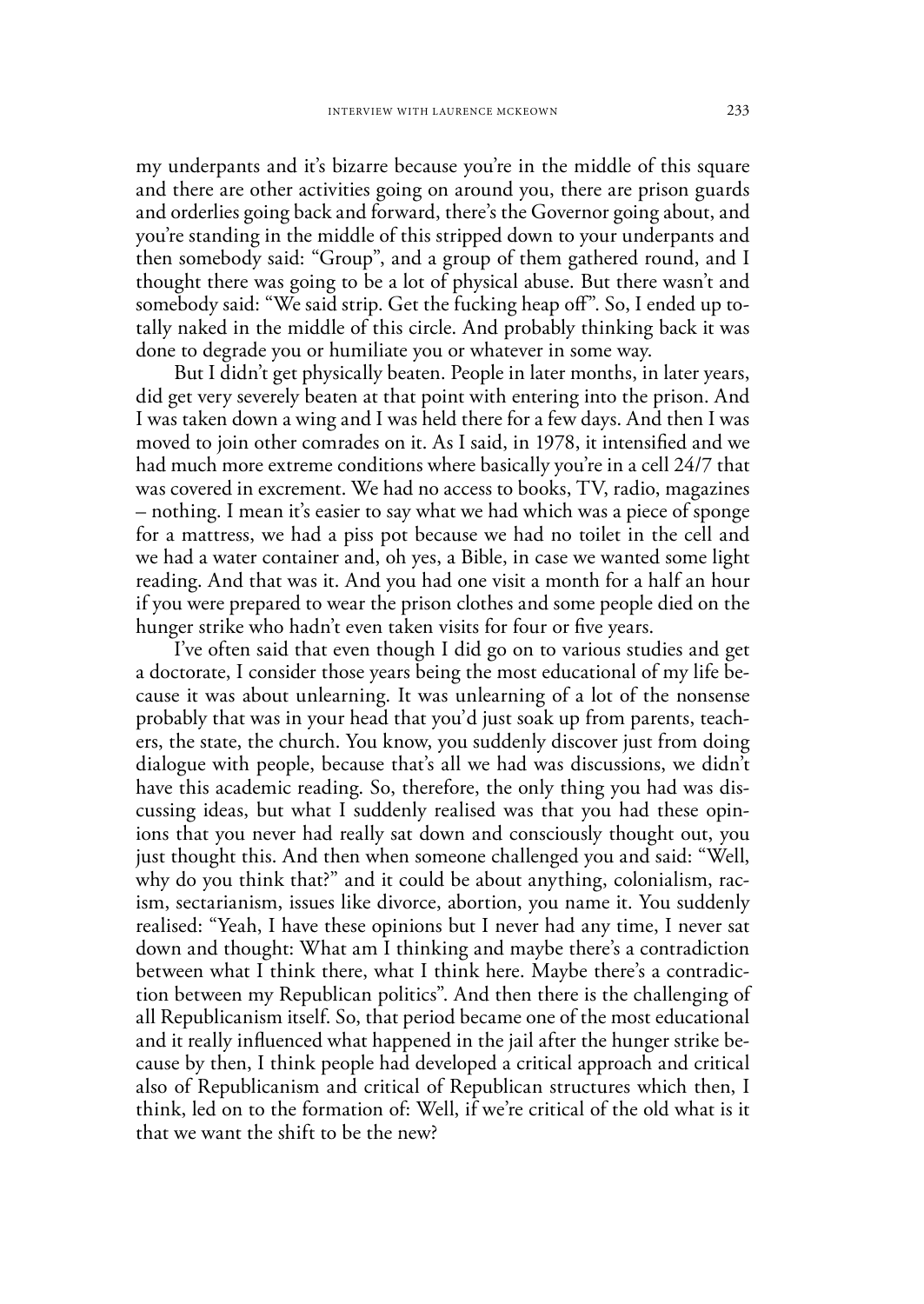my underpants and it's bizarre because you're in the middle of this square and there are other activities going on around you, there are prison guards and orderlies going back and forward, there's the Governor going about, and you're standing in the middle of this stripped down to your underpants and then somebody said: "Group", and a group of them gathered round, and I thought there was going to be a lot of physical abuse. But there wasn't and somebody said: "We said strip. Get the fucking heap off". So, I ended up totally naked in the middle of this circle. And probably thinking back it was done to degrade you or humiliate you or whatever in some way.

But I didn't get physically beaten. People in later months, in later years, did get very severely beaten at that point with entering into the prison. And I was taken down a wing and I was held there for a few days. And then I was moved to join other comrades on it. As I said, in 1978, it intensified and we had much more extreme conditions where basically you're in a cell 24/7 that was covered in excrement. We had no access to books, TV, radio, magazines – nothing. I mean it's easier to say what we had which was a piece of sponge for a mattress, we had a piss pot because we had no toilet in the cell and we had a water container and, oh yes, a Bible, in case we wanted some light reading. And that was it. And you had one visit a month for a half an hour if you were prepared to wear the prison clothes and some people died on the hunger strike who hadn't even taken visits for four or five years.

I've often said that even though I did go on to various studies and get a doctorate, I consider those years being the most educational of my life because it was about unlearning. It was unlearning of a lot of the nonsense probably that was in your head that you'd just soak up from parents, teachers, the state, the church. You know, you suddenly discover just from doing dialogue with people, because that's all we had was discussions, we didn't have this academic reading. So, therefore, the only thing you had was discussing ideas, but what I suddenly realised was that you had these opinions that you never had really sat down and consciously thought out, you just thought this. And then when someone challenged you and said: "Well, why do you think that?" and it could be about anything, colonialism, racism, sectarianism, issues like divorce, abortion, you name it. You suddenly realised: "Yeah, I have these opinions but I never had any time, I never sat down and thought: What am I thinking and maybe there's a contradiction between what I think there, what I think here. Maybe there's a contradiction between my Republican politics". And then there is the challenging of all Republicanism itself. So, that period became one of the most educational and it really influenced what happened in the jail after the hunger strike because by then, I think people had developed a critical approach and critical also of Republicanism and critical of Republican structures which then, I think, led on to the formation of: Well, if we're critical of the old what is it that we want the shift to be the new?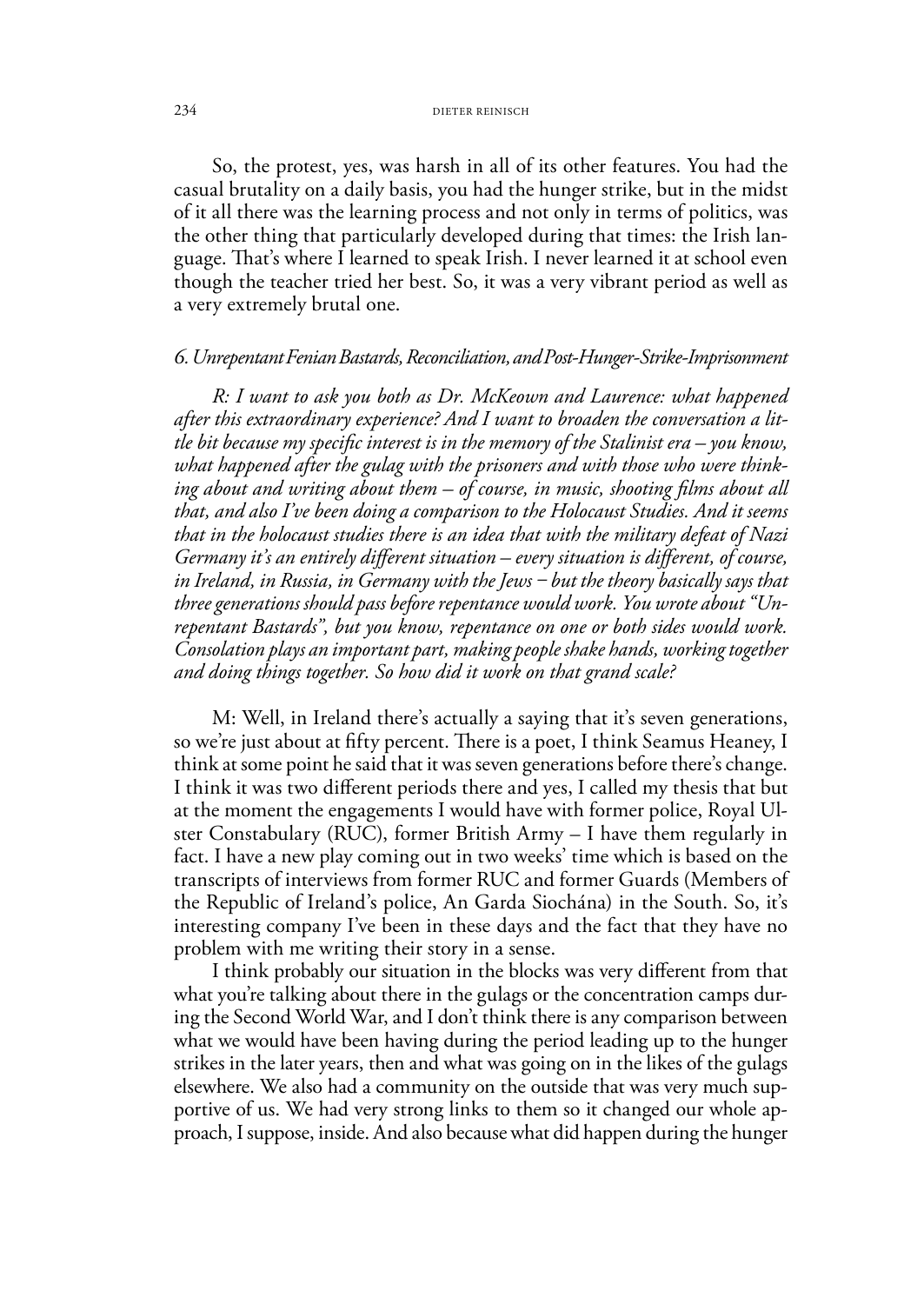#### 234 DIETER REINISCH

So, the protest, yes, was harsh in all of its other features. You had the casual brutality on a daily basis, you had the hunger strike, but in the midst of it all there was the learning process and not only in terms of politics, was the other thing that particularly developed during that times: the Irish language. That's where I learned to speak Irish. I never learned it at school even though the teacher tried her best. So, it was a very vibrant period as well as a very extremely brutal one.

## *6. Unrepentant Fenian Bastards, Reconciliation, and Post-Hunger-Strike-Imprisonment*

*R: I want to ask you both as Dr. McKeown and Laurence: what happened after this extraordinary experience? And I want to broaden the conversation a little bit because my specific interest is in the memory of the Stalinist era – you know, what happened after the gulag with the prisoners and with those who were thinking about and writing about them – of course, in music, shooting films about all that, and also I've been doing a comparison to the Holocaust Studies. And it seems that in the holocaust studies there is an idea that with the military defeat of Nazi Germany it's an entirely different situation – every situation is different, of course, in Ireland, in Russia, in Germany with the Jews ‒ but the theory basically says that three generations should pass before repentance would work. You wrote about "Unrepentant Bastards", but you know, repentance on one or both sides would work. Consolation plays an important part, making people shake hands, working together and doing things together. So how did it work on that grand scale?*

M: Well, in Ireland there's actually a saying that it's seven generations, so we're just about at fifty percent. There is a poet, I think Seamus Heaney, I think at some point he said that it was seven generations before there's change. I think it was two different periods there and yes, I called my thesis that but at the moment the engagements I would have with former police, Royal Ulster Constabulary (RUC), former British Army – I have them regularly in fact. I have a new play coming out in two weeks' time which is based on the transcripts of interviews from former RUC and former Guards (Members of the Republic of Ireland's police, An Garda Siochána) in the South. So, it's interesting company I've been in these days and the fact that they have no problem with me writing their story in a sense.

I think probably our situation in the blocks was very different from that what you're talking about there in the gulags or the concentration camps during the Second World War, and I don't think there is any comparison between what we would have been having during the period leading up to the hunger strikes in the later years, then and what was going on in the likes of the gulags elsewhere. We also had a community on the outside that was very much supportive of us. We had very strong links to them so it changed our whole approach, I suppose, inside. And also because what did happen during the hunger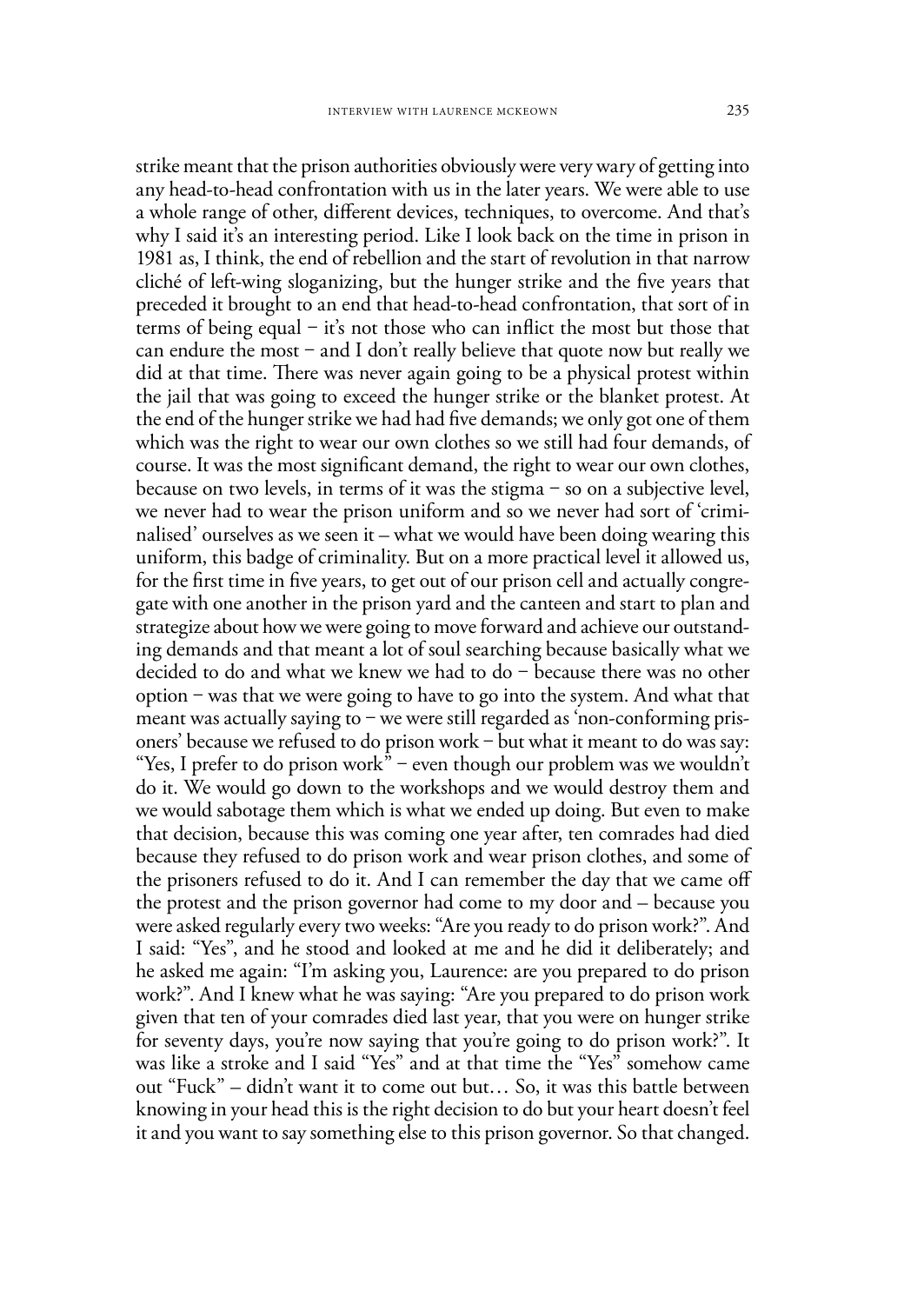strike meant that the prison authorities obviously were very wary of getting into any head-to-head confrontation with us in the later years. We were able to use a whole range of other, different devices, techniques, to overcome. And that's why I said it's an interesting period. Like I look back on the time in prison in 1981 as, I think, the end of rebellion and the start of revolution in that narrow cliché of left-wing sloganizing, but the hunger strike and the five years that preceded it brought to an end that head-to-head confrontation, that sort of in terms of being equal  $-$  it's not those who can inflict the most but those that can endure the most  $-$  and I don't really believe that quote now but really we did at that time. There was never again going to be a physical protest within the jail that was going to exceed the hunger strike or the blanket protest. At the end of the hunger strike we had had five demands; we only got one of them which was the right to wear our own clothes so we still had four demands, of course. It was the most significant demand, the right to wear our own clothes, because on two levels, in terms of it was the stigma – so on a subjective level, we never had to wear the prison uniform and so we never had sort of 'criminalised' ourselves as we seen it – what we would have been doing wearing this uniform, this badge of criminality. But on a more practical level it allowed us, for the first time in five years, to get out of our prison cell and actually congregate with one another in the prison yard and the canteen and start to plan and strategize about how we were going to move forward and achieve our outstanding demands and that meant a lot of soul searching because basically what we decided to do and what we knew we had to do  $-$  because there was no other option  $-$  was that we were going to have to go into the system. And what that meant was actually saying to  $-$  we were still regarded as 'non-conforming prisoners' because we refused to do prison work – but what it meant to do was say: "Yes, I prefer to do prison work" – even though our problem was we wouldn't do it. We would go down to the workshops and we would destroy them and we would sabotage them which is what we ended up doing. But even to make that decision, because this was coming one year after, ten comrades had died because they refused to do prison work and wear prison clothes, and some of the prisoners refused to do it. And I can remember the day that we came off the protest and the prison governor had come to my door and – because you were asked regularly every two weeks: "Are you ready to do prison work?". And I said: "Yes", and he stood and looked at me and he did it deliberately; and he asked me again: "I'm asking you, Laurence: are you prepared to do prison work?". And I knew what he was saying: "Are you prepared to do prison work given that ten of your comrades died last year, that you were on hunger strike for seventy days, you're now saying that you're going to do prison work?". It was like a stroke and I said "Yes" and at that time the "Yes" somehow came out "Fuck" – didn't want it to come out but… So, it was this battle between knowing in your head this is the right decision to do but your heart doesn't feel it and you want to say something else to this prison governor. So that changed.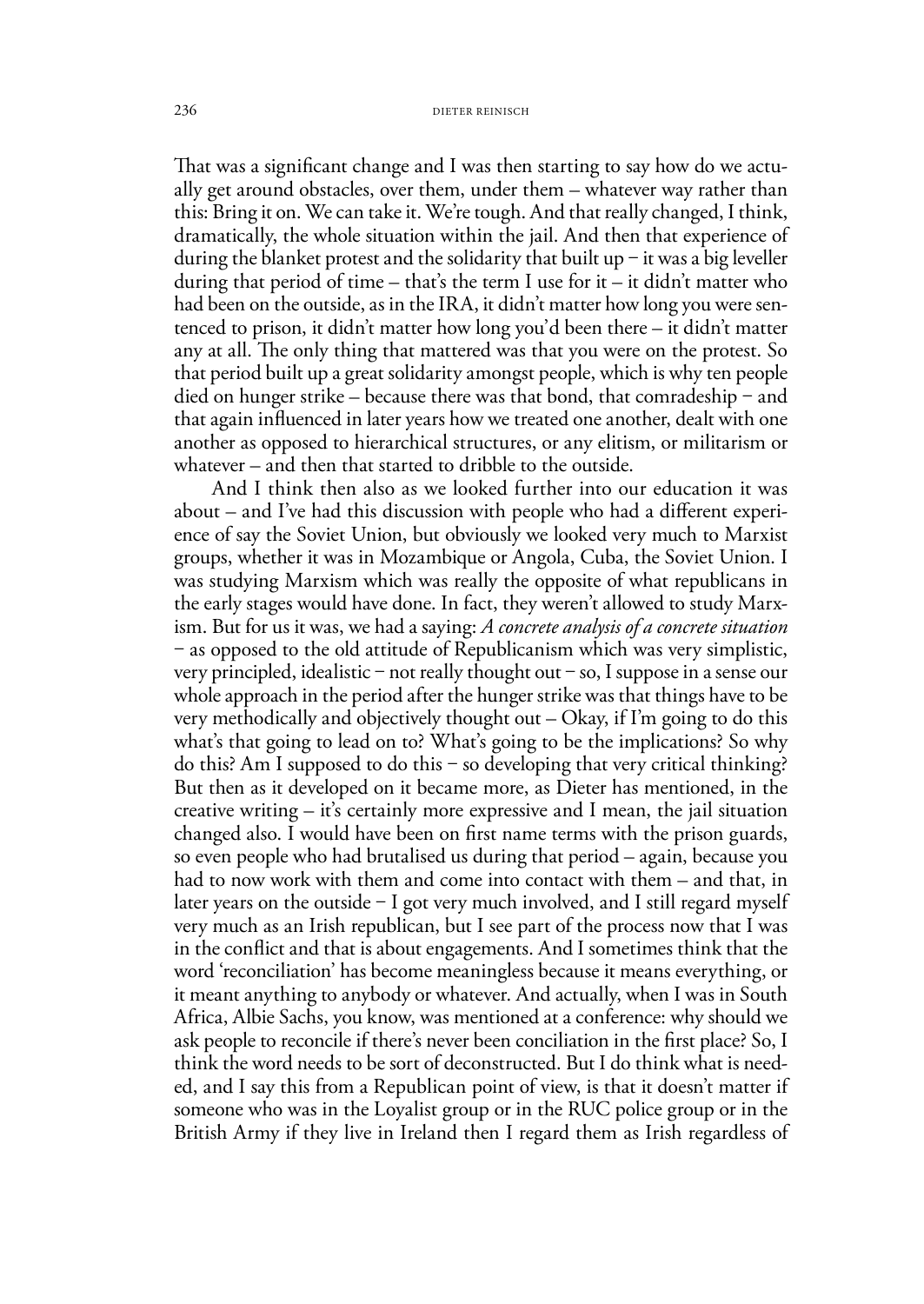That was a significant change and I was then starting to say how do we actually get around obstacles, over them, under them – whatever way rather than this: Bring it on. We can take it. We're tough. And that really changed, I think, dramatically, the whole situation within the jail. And then that experience of during the blanket protest and the solidarity that built up  $-$  it was a big leveller during that period of time – that's the term I use for it – it didn't matter who had been on the outside, as in the IRA, it didn't matter how long you were sentenced to prison, it didn't matter how long you'd been there – it didn't matter any at all. The only thing that mattered was that you were on the protest. So that period built up a great solidarity amongst people, which is why ten people died on hunger strike – because there was that bond, that comradeship – and that again influenced in later years how we treated one another, dealt with one another as opposed to hierarchical structures, or any elitism, or militarism or whatever – and then that started to dribble to the outside.

And I think then also as we looked further into our education it was about – and I've had this discussion with people who had a different experience of say the Soviet Union, but obviously we looked very much to Marxist groups, whether it was in Mozambique or Angola, Cuba, the Soviet Union. I was studying Marxism which was really the opposite of what republicans in the early stages would have done. In fact, they weren't allowed to study Marxism. But for us it was, we had a saying: *A concrete analysis of a concrete situation* ‒ as opposed to the old attitude of Republicanism which was very simplistic, very principled, idealistic  $-$  not really thought out  $-$  so, I suppose in a sense our whole approach in the period after the hunger strike was that things have to be very methodically and objectively thought out – Okay, if I'm going to do this what's that going to lead on to? What's going to be the implications? So why do this? Am I supposed to do this  $-$  so developing that very critical thinking? But then as it developed on it became more, as Dieter has mentioned, in the creative writing – it's certainly more expressive and I mean, the jail situation changed also. I would have been on first name terms with the prison guards, so even people who had brutalised us during that period – again, because you had to now work with them and come into contact with them – and that, in later years on the outside  $-$  I got very much involved, and I still regard myself very much as an Irish republican, but I see part of the process now that I was in the conflict and that is about engagements. And I sometimes think that the word 'reconciliation' has become meaningless because it means everything, or it meant anything to anybody or whatever. And actually, when I was in South Africa, Albie Sachs, you know, was mentioned at a conference: why should we ask people to reconcile if there's never been conciliation in the first place? So, I think the word needs to be sort of deconstructed. But I do think what is needed, and I say this from a Republican point of view, is that it doesn't matter if someone who was in the Loyalist group or in the RUC police group or in the British Army if they live in Ireland then I regard them as Irish regardless of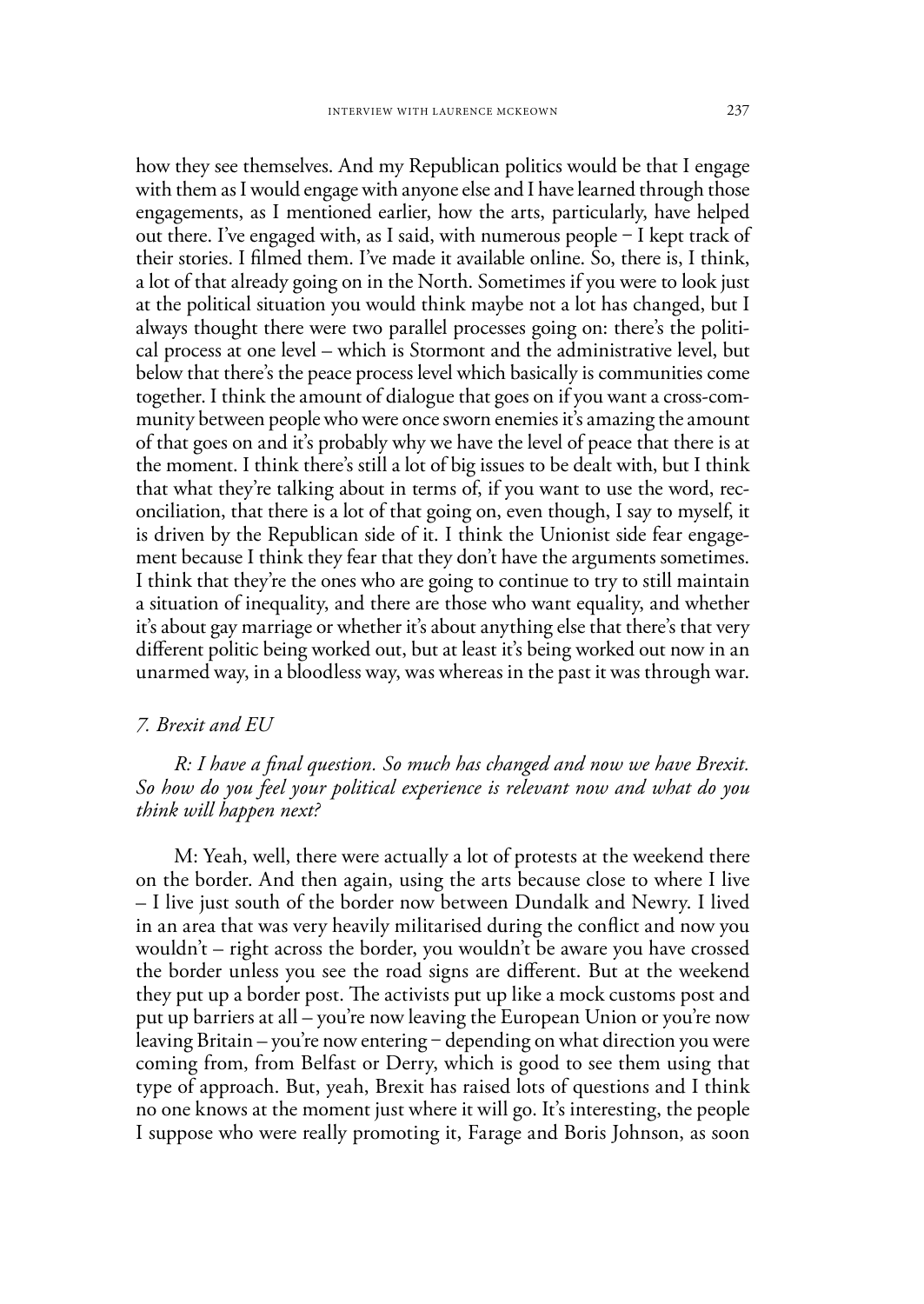how they see themselves. And my Republican politics would be that I engage with them as I would engage with anyone else and I have learned through those engagements, as I mentioned earlier, how the arts, particularly, have helped out there. I've engaged with, as I said, with numerous people  $-I$  kept track of their stories. I filmed them. I've made it available online. So, there is, I think, a lot of that already going on in the North. Sometimes if you were to look just at the political situation you would think maybe not a lot has changed, but I always thought there were two parallel processes going on: there's the political process at one level – which is Stormont and the administrative level, but below that there's the peace process level which basically is communities come together. I think the amount of dialogue that goes on if you want a cross-community between people who were once sworn enemies it's amazing the amount of that goes on and it's probably why we have the level of peace that there is at the moment. I think there's still a lot of big issues to be dealt with, but I think that what they're talking about in terms of, if you want to use the word, reconciliation, that there is a lot of that going on, even though, I say to myself, it is driven by the Republican side of it. I think the Unionist side fear engagement because I think they fear that they don't have the arguments sometimes. I think that they're the ones who are going to continue to try to still maintain a situation of inequality, and there are those who want equality, and whether it's about gay marriage or whether it's about anything else that there's that very different politic being worked out, but at least it's being worked out now in an unarmed way, in a bloodless way, was whereas in the past it was through war.

## *7. Brexit and EU*

*R: I have a final question. So much has changed and now we have Brexit. So how do you feel your political experience is relevant now and what do you think will happen next?*

M: Yeah, well, there were actually a lot of protests at the weekend there on the border. And then again, using the arts because close to where I live – I live just south of the border now between Dundalk and Newry. I lived in an area that was very heavily militarised during the conflict and now you wouldn't – right across the border, you wouldn't be aware you have crossed the border unless you see the road signs are different. But at the weekend they put up a border post. The activists put up like a mock customs post and put up barriers at all – you're now leaving the European Union or you're now leaving Britain – you're now entering – depending on what direction you were coming from, from Belfast or Derry, which is good to see them using that type of approach. But, yeah, Brexit has raised lots of questions and I think no one knows at the moment just where it will go. It's interesting, the people I suppose who were really promoting it, Farage and Boris Johnson, as soon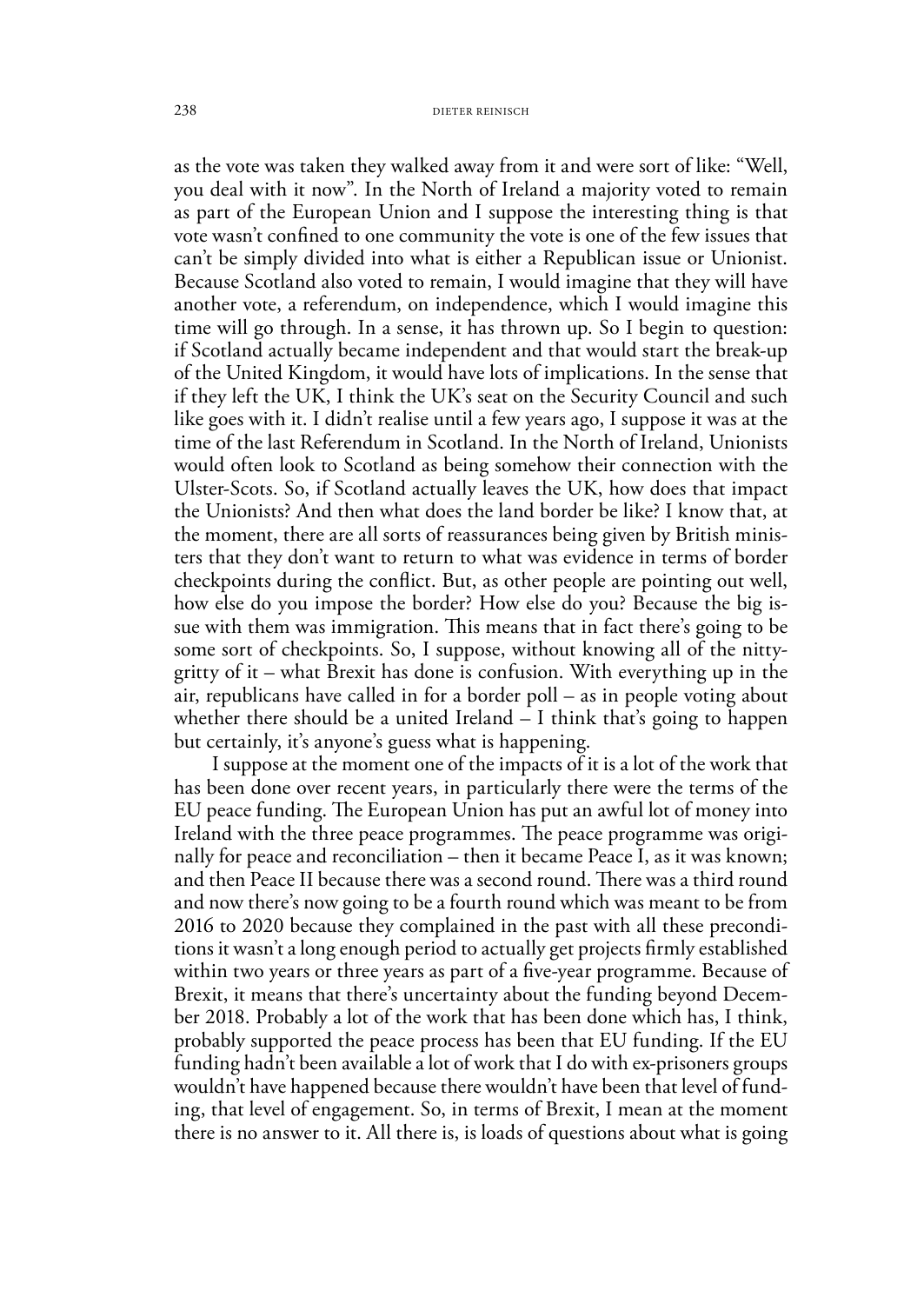as the vote was taken they walked away from it and were sort of like: "Well, you deal with it now". In the North of Ireland a majority voted to remain as part of the European Union and I suppose the interesting thing is that vote wasn't confined to one community the vote is one of the few issues that can't be simply divided into what is either a Republican issue or Unionist. Because Scotland also voted to remain, I would imagine that they will have another vote, a referendum, on independence, which I would imagine this time will go through. In a sense, it has thrown up. So I begin to question: if Scotland actually became independent and that would start the break-up of the United Kingdom, it would have lots of implications. In the sense that if they left the UK, I think the UK's seat on the Security Council and such like goes with it. I didn't realise until a few years ago, I suppose it was at the time of the last Referendum in Scotland. In the North of Ireland, Unionists would often look to Scotland as being somehow their connection with the Ulster-Scots. So, if Scotland actually leaves the UK, how does that impact the Unionists? And then what does the land border be like? I know that, at the moment, there are all sorts of reassurances being given by British ministers that they don't want to return to what was evidence in terms of border checkpoints during the conflict. But, as other people are pointing out well, how else do you impose the border? How else do you? Because the big issue with them was immigration. This means that in fact there's going to be some sort of checkpoints. So, I suppose, without knowing all of the nittygritty of it – what Brexit has done is confusion. With everything up in the air, republicans have called in for a border poll – as in people voting about whether there should be a united Ireland – I think that's going to happen but certainly, it's anyone's guess what is happening.

I suppose at the moment one of the impacts of it is a lot of the work that has been done over recent years, in particularly there were the terms of the EU peace funding. The European Union has put an awful lot of money into Ireland with the three peace programmes. The peace programme was originally for peace and reconciliation – then it became Peace I, as it was known; and then Peace II because there was a second round. There was a third round and now there's now going to be a fourth round which was meant to be from 2016 to 2020 because they complained in the past with all these preconditions it wasn't a long enough period to actually get projects firmly established within two years or three years as part of a five-year programme. Because of Brexit, it means that there's uncertainty about the funding beyond December 2018. Probably a lot of the work that has been done which has, I think, probably supported the peace process has been that EU funding. If the EU funding hadn't been available a lot of work that I do with ex-prisoners groups wouldn't have happened because there wouldn't have been that level of funding, that level of engagement. So, in terms of Brexit, I mean at the moment there is no answer to it. All there is, is loads of questions about what is going